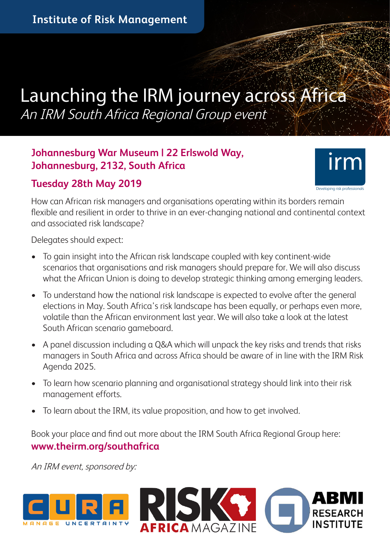# Launching the IRM journey across Africa An IRM South Africa Regional Group event

#### **Johannesburg War Museum | 22 Erlswold Way, Johannesburg, 2132, South Africa**

#### **Tuesday 28th May 2019**



How can African risk managers and organisations operating within its borders remain flexible and resilient in order to thrive in an ever-changing national and continental context and associated risk landscape?

Delegates should expect:

- To gain insight into the African risk landscape coupled with key continent-wide scenarios that organisations and risk managers should prepare for. We will also discuss what the African Union is doing to develop strategic thinking among emerging leaders.
- To understand how the national risk landscape is expected to evolve after the general elections in May. South Africa's risk landscape has been equally, or perhaps even more, volatile than the African environment last year. We will also take a look at the latest South African scenario gameboard.
- A panel discussion including a Q&A which will unpack the key risks and trends that risks managers in South Africa and across Africa should be aware of in line with the IRM Risk Agenda 2025.
- To learn how scenario planning and organisational strategy should link into their risk management efforts.
- To learn about the IRM, its value proposition, and how to get involved.

Book your place and find out more about the IRM South Africa Regional Group here: **www.theirm.org/southafrica**

An IRM event, sponsored by: